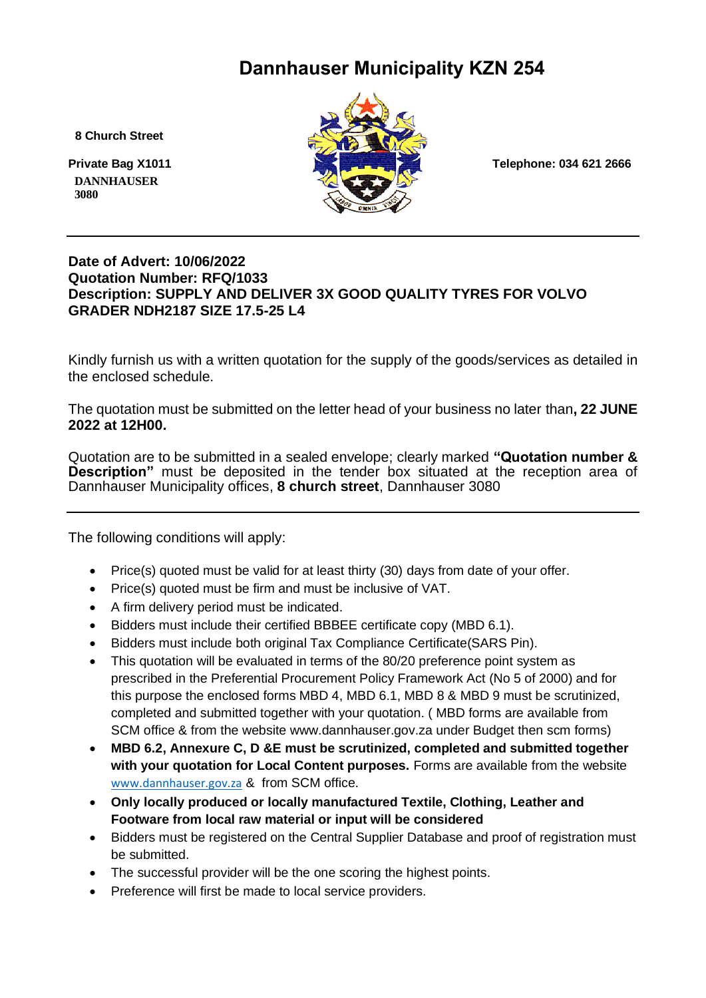# **Dannhauser Municipality KZN 254**

 **8 Church Street**

 **DANNHAUSER 3080** 



#### **Date of Advert: 10/06/2022 Quotation Number: RFQ/1033 Description: SUPPLY AND DELIVER 3X GOOD QUALITY TYRES FOR VOLVO GRADER NDH2187 SIZE 17.5-25 L4**

Kindly furnish us with a written quotation for the supply of the goods/services as detailed in the enclosed schedule.

The quotation must be submitted on the letter head of your business no later than**, 22 JUNE 2022 at 12H00.**

Quotation are to be submitted in a sealed envelope; clearly marked **"Quotation number & Description"** must be deposited in the tender box situated at the reception area of Dannhauser Municipality offices, **8 church street**, Dannhauser 3080

The following conditions will apply:

- Price(s) quoted must be valid for at least thirty (30) days from date of your offer.
- Price(s) quoted must be firm and must be inclusive of VAT.
- A firm delivery period must be indicated.
- Bidders must include their certified BBBEE certificate copy (MBD 6.1).
- Bidders must include both original Tax Compliance Certificate(SARS Pin).
- This quotation will be evaluated in terms of the 80/20 preference point system as prescribed in the Preferential Procurement Policy Framework Act (No 5 of 2000) and for this purpose the enclosed forms MBD 4, MBD 6.1, MBD 8 & MBD 9 must be scrutinized, completed and submitted together with your quotation. ( MBD forms are available from SCM office & from the website www.dannhauser.gov.za under Budget then scm forms)
- **MBD 6.2, Annexure C, D &E must be scrutinized, completed and submitted together with your quotation for Local Content purposes.** Forms are available from the website [www.dannhauser.gov.za](http://www.dannhauser.gov.za/) & from SCM office.
- **Only locally produced or locally manufactured Textile, Clothing, Leather and Footware from local raw material or input will be considered**
- Bidders must be registered on the Central Supplier Database and proof of registration must be submitted.
- The successful provider will be the one scoring the highest points.
- Preference will first be made to local service providers.